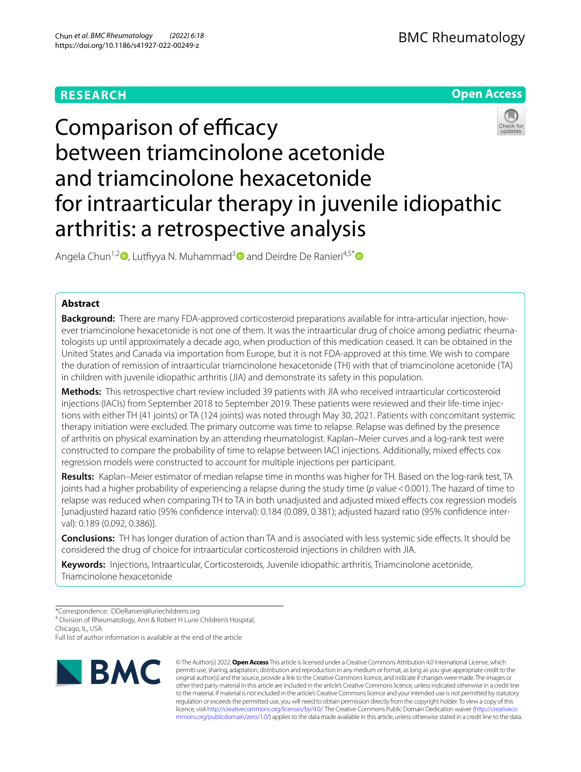# **RESEARCH**



# Comparison of efficacy between triamcinolone acetonide and triamcinolone hexacetonide for intraarticular therapy in juvenile idiopathic arthritis: a retrospective analysis

Angela Chun<sup>1,2</sup><sup>(a</sup>)[,](http://orcid.org/0000-0002-2768-5383) Lutfiyya N. Muhammad<sup>[3](http://orcid.org/0000-0001-8655-1484)</sup> and Deirdre De Ranieri<sup>4,5[\\*](http://orcid.org/0000-0003-0782-6000)</sup> and

# **Abstract**

**Background:** There are many FDA-approved corticosteroid preparations available for intra-articular injection, however triamcinolone hexacetonide is not one of them. It was the intraarticular drug of choice among pediatric rheumatologists up until approximately a decade ago, when production of this medication ceased. It can be obtained in the United States and Canada via importation from Europe, but it is not FDA-approved at this time. We wish to compare the duration of remission of intraarticular triamcinolone hexacetonide (TH) with that of triamcinolone acetonide (TA) in children with juvenile idiopathic arthritis (JIA) and demonstrate its safety in this population.

**Methods:** This retrospective chart review included 39 patients with JIA who received intraarticular corticosteroid injections (IACIs) from September 2018 to September 2019. These patients were reviewed and their life-time injections with either TH (41 joints) or TA (124 joints) was noted through May 30, 2021. Patients with concomitant systemic therapy initiation were excluded. The primary outcome was time to relapse. Relapse was defned by the presence of arthritis on physical examination by an attending rheumatologist. Kaplan–Meier curves and a log-rank test were constructed to compare the probability of time to relapse between IACI injections. Additionally, mixed efects cox regression models were constructed to account for multiple injections per participant.

**Results:** Kaplan–Meier estimator of median relapse time in months was higher for TH. Based on the log-rank test, TA joints had a higher probability of experiencing a relapse during the study time (*p* value<0.001). The hazard of time to relapse was reduced when comparing TH to TA in both unadjusted and adjusted mixed efects cox regression models [unadjusted hazard ratio (95% confdence interval): 0.184 (0.089, 0.381); adjusted hazard ratio (95% confdence interval): 0.189 (0.092, 0.386)].

**Conclusions:** TH has longer duration of action than TA and is associated with less systemic side efects. It should be considered the drug of choice for intraarticular corticosteroid injections in children with JIA.

**Keywords:** Injections, Intraarticular, Corticosteroids, Juvenile idiopathic arthritis, Triamcinolone acetonide, Triamcinolone hexacetonide

4 Division of Rheumatology, Ann & Robert H Lurie Children's Hospital,

Chicago, IL, USA

Full list of author information is available at the end of the article



© The Author(s) 2022. **Open Access** This article is licensed under a Creative Commons Attribution 4.0 International License, which permits use, sharing, adaptation, distribution and reproduction in any medium or format, as long as you give appropriate credit to the original author(s) and the source, provide a link to the Creative Commons licence, and indicate if changes were made. The images or other third party material in this article are included in the article's Creative Commons licence, unless indicated otherwise in a credit line to the material. If material is not included in the article's Creative Commons licence and your intended use is not permitted by statutory regulation or exceeds the permitted use, you will need to obtain permission directly from the copyright holder. To view a copy of this licence, visit [http://creativecommons.org/licenses/by/4.0/.](http://creativecommons.org/licenses/by/4.0/) The Creative Commons Public Domain Dedication waiver ([http://creativeco](http://creativecommons.org/publicdomain/zero/1.0/) [mmons.org/publicdomain/zero/1.0/](http://creativecommons.org/publicdomain/zero/1.0/)) applies to the data made available in this article, unless otherwise stated in a credit line to the data.

<sup>\*</sup>Correspondence: DDeRanieri@luriechildrens.org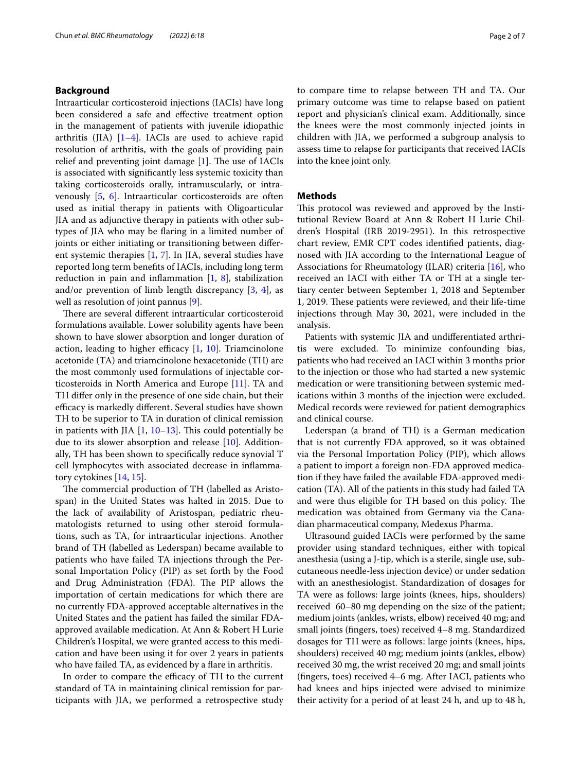# **Background**

Intraarticular corticosteroid injections (IACIs) have long been considered a safe and efective treatment option in the management of patients with juvenile idiopathic arthritis (JIA)  $[1-4]$  $[1-4]$ . IACIs are used to achieve rapid resolution of arthritis, with the goals of providing pain relief and preventing joint damage  $[1]$  $[1]$ . The use of IACIs is associated with signifcantly less systemic toxicity than taking corticosteroids orally, intramuscularly, or intravenously [\[5](#page-6-2), [6\]](#page-6-3). Intraarticular corticosteroids are often used as initial therapy in patients with Oligoarticular JIA and as adjunctive therapy in patients with other subtypes of JIA who may be faring in a limited number of joints or either initiating or transitioning between diferent systemic therapies [[1](#page-6-0), [7\]](#page-6-4). In JIA, several studies have reported long term benefts of IACIs, including long term reduction in pain and inflammation  $[1, 8]$  $[1, 8]$  $[1, 8]$  $[1, 8]$ , stabilization and/or prevention of limb length discrepancy  $[3, 4]$  $[3, 4]$  $[3, 4]$  $[3, 4]$ , as well as resolution of joint pannus [[9\]](#page-6-7).

There are several different intraarticular corticosteroid formulations available. Lower solubility agents have been shown to have slower absorption and longer duration of action, leading to higher efficacy  $[1, 10]$  $[1, 10]$  $[1, 10]$  $[1, 10]$  $[1, 10]$ . Triamcinolone acetonide (TA) and triamcinolone hexacetonide (TH) are the most commonly used formulations of injectable corticosteroids in North America and Europe [\[11](#page-6-9)]. TA and TH difer only in the presence of one side chain, but their efficacy is markedly different. Several studies have shown TH to be superior to TA in duration of clinical remission in patients with JIA  $[1, 10-13]$  $[1, 10-13]$  $[1, 10-13]$  $[1, 10-13]$ . This could potentially be due to its slower absorption and release [[10\]](#page-6-8). Additionally, TH has been shown to specifcally reduce synovial T cell lymphocytes with associated decrease in infammatory cytokines [\[14](#page-6-11), [15\]](#page-6-12).

The commercial production of TH (labelled as Aristospan) in the United States was halted in 2015. Due to the lack of availability of Aristospan, pediatric rheumatologists returned to using other steroid formulations, such as TA, for intraarticular injections. Another brand of TH (labelled as Lederspan) became available to patients who have failed TA injections through the Personal Importation Policy (PIP) as set forth by the Food and Drug Administration (FDA). The PIP allows the importation of certain medications for which there are no currently FDA-approved acceptable alternatives in the United States and the patient has failed the similar FDAapproved available medication. At Ann & Robert H Lurie Children's Hospital, we were granted access to this medication and have been using it for over 2 years in patients who have failed TA, as evidenced by a flare in arthritis.

In order to compare the efficacy of TH to the current standard of TA in maintaining clinical remission for participants with JIA, we performed a retrospective study to compare time to relapse between TH and TA. Our primary outcome was time to relapse based on patient report and physician's clinical exam. Additionally, since the knees were the most commonly injected joints in children with JIA, we performed a subgroup analysis to assess time to relapse for participants that received IACIs into the knee joint only.

# **Methods**

This protocol was reviewed and approved by the Institutional Review Board at Ann & Robert H Lurie Children's Hospital (IRB 2019-2951). In this retrospective chart review, EMR CPT codes identifed patients, diagnosed with JIA according to the International League of Associations for Rheumatology (ILAR) criteria [\[16\]](#page-6-13), who received an IACI with either TA or TH at a single tertiary center between September 1, 2018 and September 1, 2019. These patients were reviewed, and their life-time injections through May 30, 2021, were included in the analysis.

Patients with systemic JIA and undiferentiated arthritis were excluded. To minimize confounding bias, patients who had received an IACI within 3 months prior to the injection or those who had started a new systemic medication or were transitioning between systemic medications within 3 months of the injection were excluded. Medical records were reviewed for patient demographics and clinical course.

Lederspan (a brand of TH) is a German medication that is not currently FDA approved, so it was obtained via the Personal Importation Policy (PIP), which allows a patient to import a foreign non-FDA approved medication if they have failed the available FDA-approved medication (TA). All of the patients in this study had failed TA and were thus eligible for TH based on this policy. The medication was obtained from Germany via the Canadian pharmaceutical company, Medexus Pharma.

Ultrasound guided IACIs were performed by the same provider using standard techniques, either with topical anesthesia (using a J-tip, which is a sterile, single use, subcutaneous needle-less injection device) or under sedation with an anesthesiologist. Standardization of dosages for TA were as follows: large joints (knees, hips, shoulders) received 60–80 mg depending on the size of the patient; medium joints (ankles, wrists, elbow) received 40 mg; and small joints (fngers, toes) received 4–8 mg. Standardized dosages for TH were as follows: large joints (knees, hips, shoulders) received 40 mg; medium joints (ankles, elbow) received 30 mg, the wrist received 20 mg; and small joints (fngers, toes) received 4–6 mg. After IACI, patients who had knees and hips injected were advised to minimize their activity for a period of at least 24 h, and up to 48 h,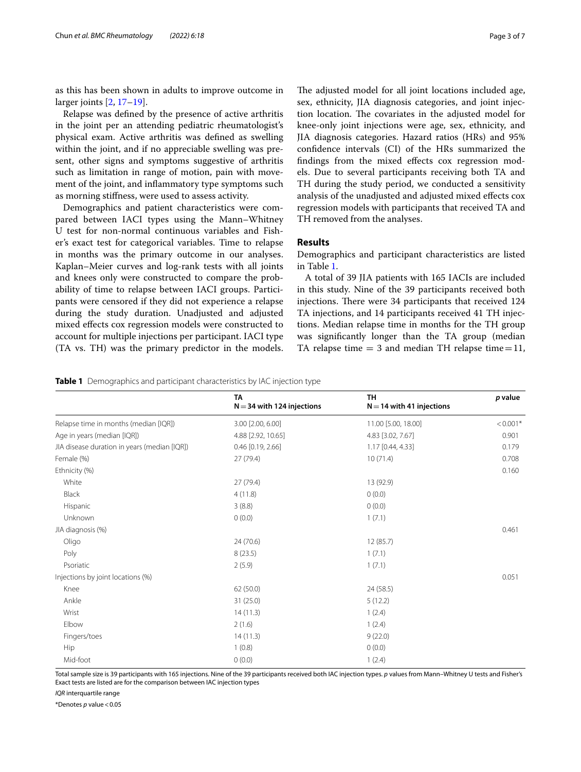as this has been shown in adults to improve outcome in larger joints [[2,](#page-6-14) [17](#page-6-15)[–19](#page-6-16)].

Relapse was defned by the presence of active arthritis in the joint per an attending pediatric rheumatologist's physical exam. Active arthritis was defned as swelling within the joint, and if no appreciable swelling was present, other signs and symptoms suggestive of arthritis such as limitation in range of motion, pain with movement of the joint, and infammatory type symptoms such as morning stifness, were used to assess activity.

Demographics and patient characteristics were compared between IACI types using the Mann–Whitney U test for non-normal continuous variables and Fisher's exact test for categorical variables. Time to relapse in months was the primary outcome in our analyses. Kaplan–Meier curves and log-rank tests with all joints and knees only were constructed to compare the probability of time to relapse between IACI groups. Participants were censored if they did not experience a relapse during the study duration. Unadjusted and adjusted mixed efects cox regression models were constructed to account for multiple injections per participant. IACI type (TA vs. TH) was the primary predictor in the models. The adjusted model for all joint locations included age, sex, ethnicity, JIA diagnosis categories, and joint injection location. The covariates in the adjusted model for knee-only joint injections were age, sex, ethnicity, and JIA diagnosis categories. Hazard ratios (HRs) and 95% confdence intervals (CI) of the HRs summarized the fndings from the mixed efects cox regression models. Due to several participants receiving both TA and TH during the study period, we conducted a sensitivity analysis of the unadjusted and adjusted mixed efects cox regression models with participants that received TA and TH removed from the analyses.

## **Results**

Demographics and participant characteristics are listed in Table [1.](#page-2-0)

A total of 39 JIA patients with 165 IACIs are included in this study. Nine of the 39 participants received both injections. There were 34 participants that received 124 TA injections, and 14 participants received 41 TH injections. Median relapse time in months for the TH group was signifcantly longer than the TA group (median TA relapse time  $=$  3 and median TH relapse time $=$  11,

<span id="page-2-0"></span>**Table 1** Demographics and participant characteristics by IAC injection type

|                                              | <b>TA</b><br>$N = 34$ with 124 injections | <b>TH</b><br>$N = 14$ with 41 injections | p value    |
|----------------------------------------------|-------------------------------------------|------------------------------------------|------------|
| Relapse time in months (median [IQR])        | 3.00 [2.00, 6.00]                         | 11.00 [5.00, 18.00]                      | $< 0.001*$ |
| Age in years (median [IQR])                  | 4.88 [2.92, 10.65]                        | 4.83 [3.02, 7.67]                        | 0.901      |
| JIA disease duration in years (median [IQR]) | $0.46$ [0.19, 2.66]                       | 1.17 [0.44, 4.33]                        | 0.179      |
| Female (%)                                   | 27(79.4)                                  | 10(71.4)                                 | 0.708      |
| Ethnicity (%)                                |                                           |                                          | 0.160      |
| White                                        | 27(79.4)                                  | 13 (92.9)                                |            |
| Black                                        | 4(11.8)                                   | 0(0.0)                                   |            |
| Hispanic                                     | 3(8.8)                                    | 0(0.0)                                   |            |
| Unknown                                      | 0(0.0)                                    | 1(7.1)                                   |            |
| JIA diagnosis (%)                            |                                           |                                          | 0.461      |
| Oligo                                        | 24(70.6)                                  | 12(85.7)                                 |            |
| Poly                                         | 8(23.5)                                   | 1(7.1)                                   |            |
| Psoriatic                                    | 2(5.9)                                    | 1(7.1)                                   |            |
| Injections by joint locations (%)            |                                           |                                          | 0.051      |
| Knee                                         | 62(50.0)                                  | 24 (58.5)                                |            |
| Ankle                                        | 31 (25.0)                                 | 5(12.2)                                  |            |
| Wrist                                        | 14(11.3)                                  | 1(2.4)                                   |            |
| Elbow                                        | 2(1.6)                                    | 1(2.4)                                   |            |
| Fingers/toes                                 | 14(11.3)                                  | 9(22.0)                                  |            |
| Hip                                          | 1(0.8)                                    | 0(0.0)                                   |            |
| Mid-foot                                     | 0(0.0)                                    | 1(2.4)                                   |            |

Total sample size is 39 participants with 165 injections. Nine of the 39 participants received both IAC injection types. *p* values from Mann–Whitney U tests and Fisher's Exact tests are listed are for the comparison between IAC injection types

*IQR* interquartile range

\*Denotes *p* value<0.05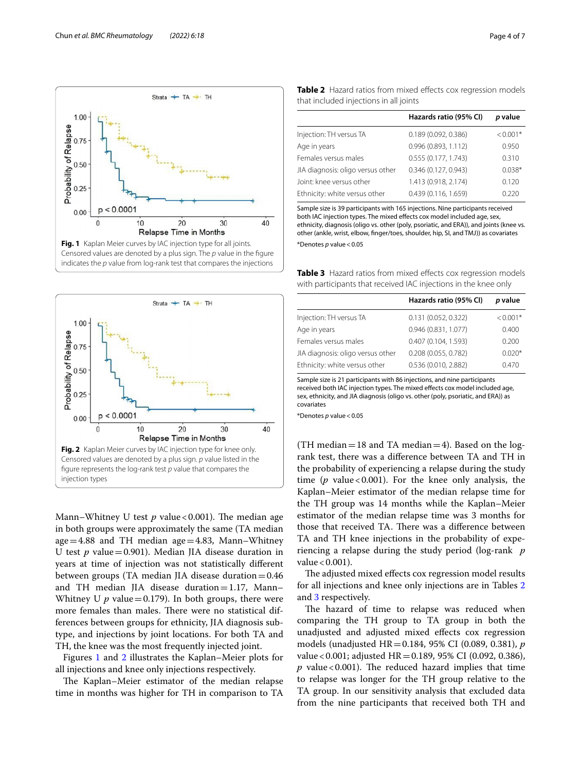

<span id="page-3-0"></span>

<span id="page-3-1"></span>Mann–Whitney U test  $p$  value < 0.001). The median age in both groups were approximately the same (TA median age  $=4.88$  and TH median age  $=4.83$ , Mann–Whitney U test  $p$  value = 0.901). Median JIA disease duration in years at time of injection was not statistically diferent between groups (TA median JIA disease duration=0.46 and TH median JIA disease duration=1.17, Mann– Whitney U  $p$  value = 0.179). In both groups, there were more females than males. There were no statistical differences between groups for ethnicity, JIA diagnosis subtype, and injections by joint locations. For both TA and TH, the knee was the most frequently injected joint.

Figures [1](#page-3-0) and [2](#page-3-1) illustrates the Kaplan–Meier plots for all injections and knee only injections respectively.

The Kaplan–Meier estimator of the median relapse time in months was higher for TH in comparison to TA

<span id="page-3-2"></span>

|                                        |  |  |  | Table 2 Hazard ratios from mixed effects cox regression models |  |
|----------------------------------------|--|--|--|----------------------------------------------------------------|--|
| that included injections in all joints |  |  |  |                                                                |  |

|                                   | Hazards ratio (95% CI) | p value    |
|-----------------------------------|------------------------|------------|
| Injection: TH versus TA           | 0.189(0.092, 0.386)    | $< 0.001*$ |
| Age in years                      | 0.996 (0.893, 1.112)   | 0.950      |
| Females versus males              | 0.555 (0.177, 1.743)   | 0.310      |
| JIA diagnosis: oligo versus other | 0.346 (0.127, 0.943)   | $0.038*$   |
| Joint: knee versus other          | 1.413 (0.918, 2.174)   | 0.120      |
| Ethnicity: white versus other     | 0.439(0.116, 1.659)    | 0.220      |

Sample size is 39 participants with 165 injections. Nine participants received both IAC injection types. The mixed effects cox model included age, sex ethnicity, diagnosis (oligo vs. other (poly, psoriatic, and ERA)), and joints (knee vs. other (ankle, wrist, elbow, fnger/toes, shoulder, hip, SI, and TMJ)) as covariates \*Denotes *p* value<0.05

<span id="page-3-3"></span>**Table 3** Hazard ratios from mixed effects cox regression models with participants that received IAC injections in the knee only

|                                   | Hazards ratio (95% CI) | p value    |
|-----------------------------------|------------------------|------------|
| Injection: TH versus TA           | 0.131 (0.052, 0.322)   | $< 0.001*$ |
| Age in years                      | 0.946 (0.831, 1.077)   | 0.400      |
| Females versus males              | 0.407 (0.104, 1.593)   | 0.200      |
| JIA diagnosis: oligo versus other | 0.208 (0.055, 0.782)   | $0.020*$   |
| Ethnicity: white versus other     | 0.536 (0.010, 2.882)   | 0.470      |

Sample size is 21 participants with 86 injections, and nine participants received both IAC injection types. The mixed efects cox model included age, sex, ethnicity, and JIA diagnosis (oligo vs. other (poly, psoriatic, and ERA)) as covariates

\*Denotes *p* value<0.05

(TH median  $=18$  and TA median  $=4$ ). Based on the logrank test, there was a diference between TA and TH in the probability of experiencing a relapse during the study time ( $p$  value < 0.001). For the knee only analysis, the Kaplan–Meier estimator of the median relapse time for the TH group was 14 months while the Kaplan–Meier estimator of the median relapse time was 3 months for those that received TA. There was a difference between TA and TH knee injections in the probability of experiencing a relapse during the study period (log-rank *p* value  $< 0.001$ ).

The adjusted mixed effects cox regression model results for all injections and knee only injections are in Tables [2](#page-3-2) and [3](#page-3-3) respectively.

The hazard of time to relapse was reduced when comparing the TH group to TA group in both the unadjusted and adjusted mixed efects cox regression models (unadjusted HR=0.184, 95% CI (0.089, 0.381), *p* value<0.001; adjusted HR=0.189, 95% CI (0.092, 0.386),  $p$  value < 0.001). The reduced hazard implies that time to relapse was longer for the TH group relative to the TA group. In our sensitivity analysis that excluded data from the nine participants that received both TH and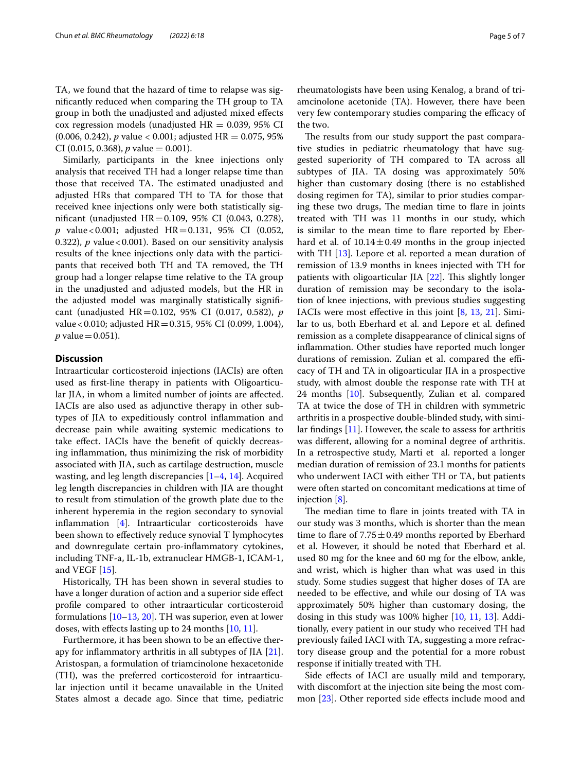TA, we found that the hazard of time to relapse was signifcantly reduced when comparing the TH group to TA group in both the unadjusted and adjusted mixed efects cox regression models (unadjusted  $HR = 0.039$ , 95% CI (0.006, 0.242), *p* value < 0.001; adjusted HR = 0.075, 95% CI (0.015, 0.368),  $p$  value = 0.001).

Similarly, participants in the knee injections only analysis that received TH had a longer relapse time than those that received TA. The estimated unadjusted and adjusted HRs that compared TH to TA for those that received knee injections only were both statistically signifcant (unadjusted HR=0.109, 95% CI (0.043, 0.278), *p* value<0.001; adjusted HR=0.131, 95% CI (0.052, 0.322), *p* value < 0.001). Based on our sensitivity analysis results of the knee injections only data with the participants that received both TH and TA removed, the TH group had a longer relapse time relative to the TA group in the unadjusted and adjusted models, but the HR in the adjusted model was marginally statistically signifcant (unadjusted HR=0.102, 95% CI (0.017, 0.582), *p* value<0.010; adjusted HR=0.315, 95% CI (0.099, 1.004), *p* value = 0.051).

# **Discussion**

Intraarticular corticosteroid injections (IACIs) are often used as frst-line therapy in patients with Oligoarticular JIA, in whom a limited number of joints are afected. IACIs are also used as adjunctive therapy in other subtypes of JIA to expeditiously control infammation and decrease pain while awaiting systemic medications to take efect. IACIs have the beneft of quickly decreasing infammation, thus minimizing the risk of morbidity associated with JIA, such as cartilage destruction, muscle wasting, and leg length discrepancies [\[1](#page-6-0)[–4](#page-6-1), [14\]](#page-6-11). Acquired leg length discrepancies in children with JIA are thought to result from stimulation of the growth plate due to the inherent hyperemia in the region secondary to synovial infammation [[4\]](#page-6-1). Intraarticular corticosteroids have been shown to efectively reduce synovial T lymphocytes and downregulate certain pro-infammatory cytokines, including TNF-a, IL-1b, extranuclear HMGB-1, ICAM-1, and VEGF [[15](#page-6-12)].

Historically, TH has been shown in several studies to have a longer duration of action and a superior side efect profle compared to other intraarticular corticosteroid formulations [[10–](#page-6-8)[13,](#page-6-10) [20](#page-6-17)]. TH was superior, even at lower doses, with efects lasting up to 24 months [\[10,](#page-6-8) [11](#page-6-9)].

Furthermore, it has been shown to be an efective therapy for infammatory arthritis in all subtypes of JIA [\[21](#page-6-18)]. Aristospan, a formulation of triamcinolone hexacetonide (TH), was the preferred corticosteroid for intraarticular injection until it became unavailable in the United States almost a decade ago. Since that time, pediatric

rheumatologists have been using Kenalog, a brand of triamcinolone acetonide (TA). However, there have been very few contemporary studies comparing the efficacy of the two.

The results from our study support the past comparative studies in pediatric rheumatology that have suggested superiority of TH compared to TA across all subtypes of JIA. TA dosing was approximately 50% higher than customary dosing (there is no established dosing regimen for TA), similar to prior studies comparing these two drugs, The median time to flare in joints treated with TH was 11 months in our study, which is similar to the mean time to fare reported by Eberhard et al. of  $10.14 \pm 0.49$  months in the group injected with TH [[13](#page-6-10)]. Lepore et al. reported a mean duration of remission of 13.9 months in knees injected with TH for patients with oligoarticular JIA  $[22]$  $[22]$  $[22]$ . This slightly longer duration of remission may be secondary to the isolation of knee injections, with previous studies suggesting IACIs were most efective in this joint [[8,](#page-6-5) [13](#page-6-10), [21\]](#page-6-18). Similar to us, both Eberhard et al. and Lepore et al. defned remission as a complete disappearance of clinical signs of infammation. Other studies have reported much longer durations of remission. Zulian et al. compared the efficacy of TH and TA in oligoarticular JIA in a prospective study, with almost double the response rate with TH at 24 months [\[10](#page-6-8)]. Subsequently, Zulian et al. compared TA at twice the dose of TH in children with symmetric arthritis in a prospective double-blinded study, with similar fndings [[11](#page-6-9)]. However, the scale to assess for arthritis was diferent, allowing for a nominal degree of arthritis. In a retrospective study, Marti et al. reported a longer median duration of remission of 23.1 months for patients who underwent IACI with either TH or TA, but patients were often started on concomitant medications at time of injection [\[8](#page-6-5)].

The median time to flare in joints treated with TA in our study was 3 months, which is shorter than the mean time to flare of  $7.75 \pm 0.49$  months reported by Eberhard et al. However, it should be noted that Eberhard et al. used 80 mg for the knee and 60 mg for the elbow, ankle, and wrist, which is higher than what was used in this study. Some studies suggest that higher doses of TA are needed to be efective, and while our dosing of TA was approximately 50% higher than customary dosing, the dosing in this study was 100% higher [[10,](#page-6-8) [11](#page-6-9), [13](#page-6-10)]. Additionally, every patient in our study who received TH had previously failed IACI with TA, suggesting a more refractory disease group and the potential for a more robust response if initially treated with TH.

Side efects of IACI are usually mild and temporary, with discomfort at the injection site being the most common  $[23]$  $[23]$ . Other reported side effects include mood and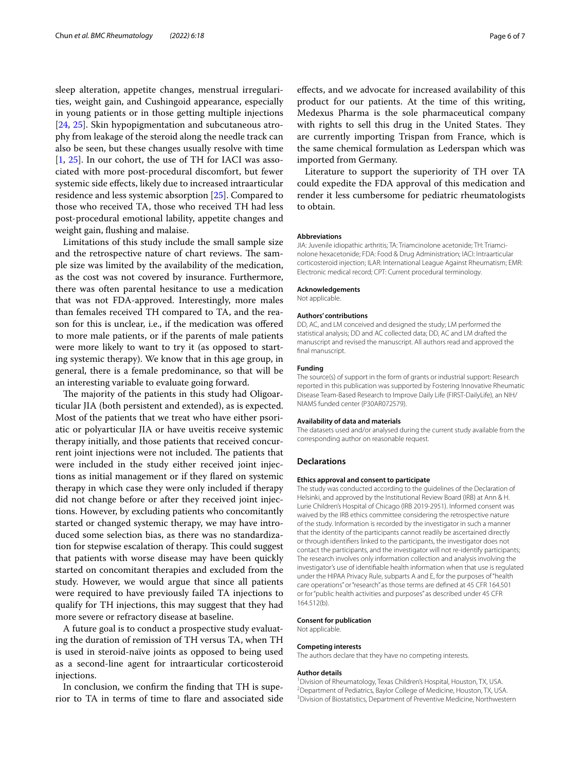sleep alteration, appetite changes, menstrual irregularities, weight gain, and Cushingoid appearance, especially in young patients or in those getting multiple injections [[24,](#page-6-21) [25\]](#page-6-22). Skin hypopigmentation and subcutaneous atrophy from leakage of the steroid along the needle track can also be seen, but these changes usually resolve with time [[1,](#page-6-0) [25](#page-6-22)]. In our cohort, the use of TH for IACI was associated with more post-procedural discomfort, but fewer systemic side efects, likely due to increased intraarticular residence and less systemic absorption [\[25\]](#page-6-22). Compared to those who received TA, those who received TH had less post-procedural emotional lability, appetite changes and weight gain, fushing and malaise.

Limitations of this study include the small sample size and the retrospective nature of chart reviews. The sample size was limited by the availability of the medication, as the cost was not covered by insurance. Furthermore, there was often parental hesitance to use a medication that was not FDA-approved. Interestingly, more males than females received TH compared to TA, and the reason for this is unclear, i.e., if the medication was ofered to more male patients, or if the parents of male patients were more likely to want to try it (as opposed to starting systemic therapy). We know that in this age group, in general, there is a female predominance, so that will be an interesting variable to evaluate going forward.

The majority of the patients in this study had Oligoarticular JIA (both persistent and extended), as is expected. Most of the patients that we treat who have either psoriatic or polyarticular JIA or have uveitis receive systemic therapy initially, and those patients that received concurrent joint injections were not included. The patients that were included in the study either received joint injections as initial management or if they fared on systemic therapy in which case they were only included if therapy did not change before or after they received joint injections. However, by excluding patients who concomitantly started or changed systemic therapy, we may have introduced some selection bias, as there was no standardization for stepwise escalation of therapy. This could suggest that patients with worse disease may have been quickly started on concomitant therapies and excluded from the study. However, we would argue that since all patients were required to have previously failed TA injections to qualify for TH injections, this may suggest that they had more severe or refractory disease at baseline.

A future goal is to conduct a prospective study evaluating the duration of remission of TH versus TA, when TH is used in steroid-naïve joints as opposed to being used as a second-line agent for intraarticular corticosteroid injections.

In conclusion, we confrm the fnding that TH is superior to TA in terms of time to fare and associated side

are currently importing Trispan from France, which is the same chemical formulation as Lederspan which was imported from Germany.

Literature to support the superiority of TH over TA could expedite the FDA approval of this medication and render it less cumbersome for pediatric rheumatologists to obtain.

#### **Abbreviations**

JIA: Juvenile idiopathic arthritis; TA: Triamcinolone acetonide; TH: Triamcinolone hexacetonide; FDA: Food & Drug Administration; IACI: Intraarticular corticosteroid injection; ILAR: International League Against Rheumatism; EMR: Electronic medical record; CPT: Current procedural terminology.

#### **Acknowledgements**

Not applicable.

#### **Authors' contributions**

DD, AC, and LM conceived and designed the study; LM performed the statistical analysis; DD and AC collected data; DD, AC and LM drafted the manuscript and revised the manuscript. All authors read and approved the final manuscript.

#### **Funding**

The source(s) of support in the form of grants or industrial support: Research reported in this publication was supported by Fostering Innovative Rheumatic Disease Team-Based Research to Improve Daily Life (FIRST-DailyLife), an NIH/ NIAMS funded center (P30AR072579).

#### **Availability of data and materials**

The datasets used and/or analysed during the current study available from the corresponding author on reasonable request.

#### **Declarations**

#### **Ethics approval and consent to participate**

The study was conducted according to the guidelines of the Declaration of Helsinki, and approved by the Institutional Review Board (IRB) at Ann & H. Lurie Children's Hospital of Chicago (IRB 2019-2951). Informed consent was waived by the IRB ethics committee considering the retrospective nature of the study. Information is recorded by the investigator in such a manner that the identity of the participants cannot readily be ascertained directly or through identifers linked to the participants, the investigator does not contact the participants, and the investigator will not re-identify participants; The research involves only information collection and analysis involving the investigator's use of identifable health information when that use is regulated under the HIPAA Privacy Rule, subparts A and E, for the purposes of "health care operations" or "research" as those terms are defned at 45 CFR 164.501 or for "public health activities and purposes" as described under 45 CFR 164.512(b).

#### **Consent for publication**

Not applicable.

#### **Competing interests**

The authors declare that they have no competing interests.

#### **Author details**

<sup>1</sup> Division of Rheumatology, Texas Children's Hospital, Houston, TX, USA.<br><sup>2</sup> Department of Pediatrics, Baylor College of Medicine, Houston, TX, US <sup>2</sup> Department of Pediatrics, Baylor College of Medicine, Houston, TX, USA. <sup>3</sup> Division of Biostatistics, Department of Preventive Medicine, Northwestern